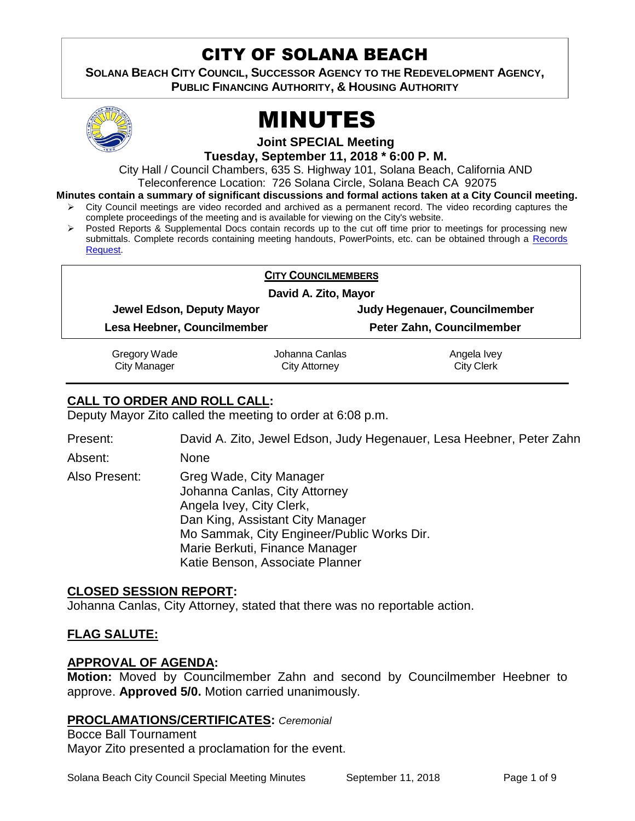# CITY OF SOLANA BEACH

**SOLANA BEACH CITY COUNCIL, SUCCESSOR AGENCY TO THE REDEVELOPMENT AGENCY, PUBLIC FINANCING AUTHORITY, & HOUSING AUTHORITY** 



# MINUTES

**Joint SPECIAL Meeting**

**Tuesday, September 11, 2018 \* 6:00 P. M.**

City Hall / Council Chambers, 635 S. Highway 101, Solana Beach, California AND Teleconference Location: 726 Solana Circle, Solana Beach CA 92075

- **Minutes contain a summary of significant discussions and formal actions taken at a City Council meeting.**
	- $\triangleright$  City Council meetings are video recorded and archived as a permanent record. The video recording captures the complete proceedings of the meeting and is available for viewing on the City's website.
	- Posted Reports & Supplemental Docs contain records up to the cut off time prior to meetings for processing new submittals. Complete records containing meeting handouts, PowerPoints, etc. can be obtained through a Records [Request.](http://www.ci.solana-beach.ca.us/index.asp?SEC=F5D45D10-70CE-4291-A27C-7BD633FC6742&Type=B_BASIC)

| <b>CITY COUNCILMEMBERS</b><br>David A. Zito, Mayor |                           |
|----------------------------------------------------|---------------------------|
|                                                    |                           |
| Lesa Heebner, Councilmember                        | Peter Zahn, Councilmember |

Gregory Wade City Manager

Johanna Canlas City Attorney

Angela Ivey City Clerk

# **CALL TO ORDER AND ROLL CALL:**

Deputy Mayor Zito called the meeting to order at 6:08 p.m.

Present: David A. Zito, Jewel Edson, Judy Hegenauer, Lesa Heebner, Peter Zahn Absent: None

Also Present: Greg Wade, City Manager Johanna Canlas, City Attorney Angela Ivey, City Clerk, Dan King, Assistant City Manager Mo Sammak, City Engineer/Public Works Dir. Marie Berkuti, Finance Manager Katie Benson, Associate Planner

# **CLOSED SESSION REPORT:**

Johanna Canlas, City Attorney, stated that there was no reportable action.

# **FLAG SALUTE:**

# **APPROVAL OF AGENDA:**

**Motion:** Moved by Councilmember Zahn and second by Councilmember Heebner to approve. **Approved 5/0.** Motion carried unanimously.

# **PROCLAMATIONS/CERTIFICATES:** *Ceremonial*

Bocce Ball Tournament Mayor Zito presented a proclamation for the event.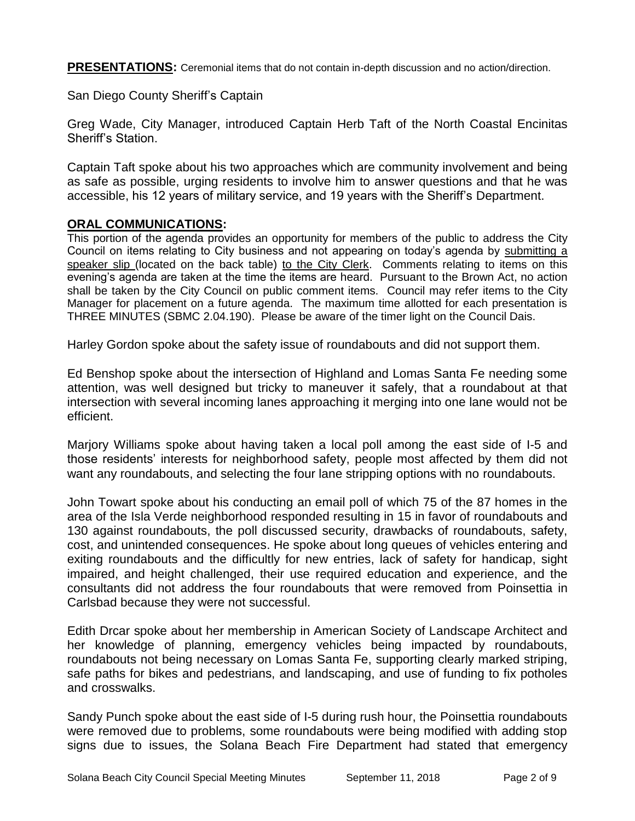**PRESENTATIONS:** Ceremonial items that do not contain in-depth discussion and no action/direction.

San Diego County Sheriff's Captain

Greg Wade, City Manager, introduced Captain Herb Taft of the North Coastal Encinitas Sheriff's Station.

Captain Taft spoke about his two approaches which are community involvement and being as safe as possible, urging residents to involve him to answer questions and that he was accessible, his 12 years of military service, and 19 years with the Sheriff's Department.

#### **ORAL COMMUNICATIONS:**

This portion of the agenda provides an opportunity for members of the public to address the City Council on items relating to City business and not appearing on today's agenda by submitting a speaker slip (located on the back table) to the City Clerk. Comments relating to items on this evening's agenda are taken at the time the items are heard. Pursuant to the Brown Act, no action shall be taken by the City Council on public comment items. Council may refer items to the City Manager for placement on a future agenda. The maximum time allotted for each presentation is THREE MINUTES (SBMC 2.04.190). Please be aware of the timer light on the Council Dais.

Harley Gordon spoke about the safety issue of roundabouts and did not support them.

Ed Benshop spoke about the intersection of Highland and Lomas Santa Fe needing some attention, was well designed but tricky to maneuver it safely, that a roundabout at that intersection with several incoming lanes approaching it merging into one lane would not be efficient.

Marjory Williams spoke about having taken a local poll among the east side of I-5 and those residents' interests for neighborhood safety, people most affected by them did not want any roundabouts, and selecting the four lane stripping options with no roundabouts.

John Towart spoke about his conducting an email poll of which 75 of the 87 homes in the area of the Isla Verde neighborhood responded resulting in 15 in favor of roundabouts and 130 against roundabouts, the poll discussed security, drawbacks of roundabouts, safety, cost, and unintended consequences. He spoke about long queues of vehicles entering and exiting roundabouts and the difficultly for new entries, lack of safety for handicap, sight impaired, and height challenged, their use required education and experience, and the consultants did not address the four roundabouts that were removed from Poinsettia in Carlsbad because they were not successful.

Edith Drcar spoke about her membership in American Society of Landscape Architect and her knowledge of planning, emergency vehicles being impacted by roundabouts, roundabouts not being necessary on Lomas Santa Fe, supporting clearly marked striping, safe paths for bikes and pedestrians, and landscaping, and use of funding to fix potholes and crosswalks.

Sandy Punch spoke about the east side of I-5 during rush hour, the Poinsettia roundabouts were removed due to problems, some roundabouts were being modified with adding stop signs due to issues, the Solana Beach Fire Department had stated that emergency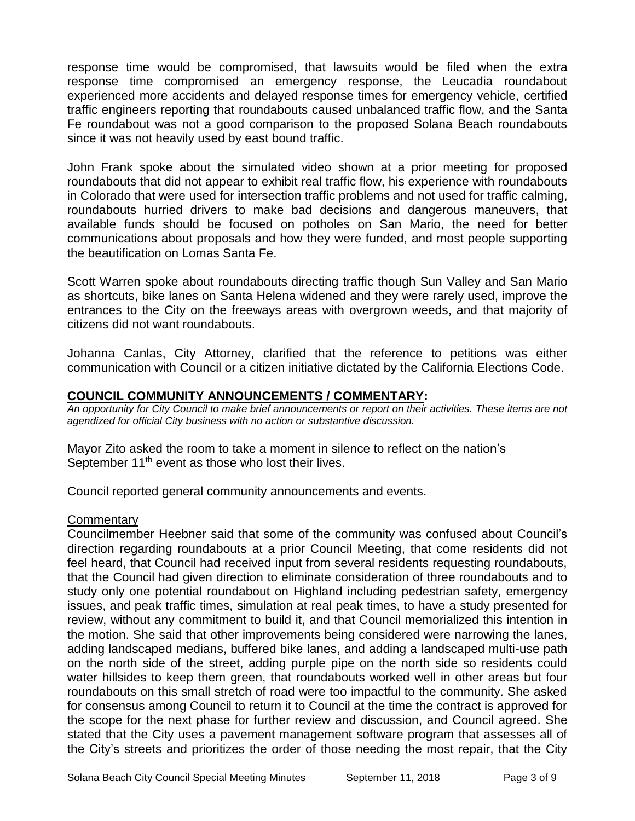response time would be compromised, that lawsuits would be filed when the extra response time compromised an emergency response, the Leucadia roundabout experienced more accidents and delayed response times for emergency vehicle, certified traffic engineers reporting that roundabouts caused unbalanced traffic flow, and the Santa Fe roundabout was not a good comparison to the proposed Solana Beach roundabouts since it was not heavily used by east bound traffic.

John Frank spoke about the simulated video shown at a prior meeting for proposed roundabouts that did not appear to exhibit real traffic flow, his experience with roundabouts in Colorado that were used for intersection traffic problems and not used for traffic calming, roundabouts hurried drivers to make bad decisions and dangerous maneuvers, that available funds should be focused on potholes on San Mario, the need for better communications about proposals and how they were funded, and most people supporting the beautification on Lomas Santa Fe.

Scott Warren spoke about roundabouts directing traffic though Sun Valley and San Mario as shortcuts, bike lanes on Santa Helena widened and they were rarely used, improve the entrances to the City on the freeways areas with overgrown weeds, and that majority of citizens did not want roundabouts.

Johanna Canlas, City Attorney, clarified that the reference to petitions was either communication with Council or a citizen initiative dictated by the California Elections Code.

# **COUNCIL COMMUNITY ANNOUNCEMENTS / COMMENTARY:**

*An opportunity for City Council to make brief announcements or report on their activities. These items are not agendized for official City business with no action or substantive discussion.* 

Mayor Zito asked the room to take a moment in silence to reflect on the nation's September 11<sup>th</sup> event as those who lost their lives.

Council reported general community announcements and events.

# **Commentary**

Councilmember Heebner said that some of the community was confused about Council's direction regarding roundabouts at a prior Council Meeting, that come residents did not feel heard, that Council had received input from several residents requesting roundabouts, that the Council had given direction to eliminate consideration of three roundabouts and to study only one potential roundabout on Highland including pedestrian safety, emergency issues, and peak traffic times, simulation at real peak times, to have a study presented for review, without any commitment to build it, and that Council memorialized this intention in the motion. She said that other improvements being considered were narrowing the lanes, adding landscaped medians, buffered bike lanes, and adding a landscaped multi-use path on the north side of the street, adding purple pipe on the north side so residents could water hillsides to keep them green, that roundabouts worked well in other areas but four roundabouts on this small stretch of road were too impactful to the community. She asked for consensus among Council to return it to Council at the time the contract is approved for the scope for the next phase for further review and discussion, and Council agreed. She stated that the City uses a pavement management software program that assesses all of the City's streets and prioritizes the order of those needing the most repair, that the City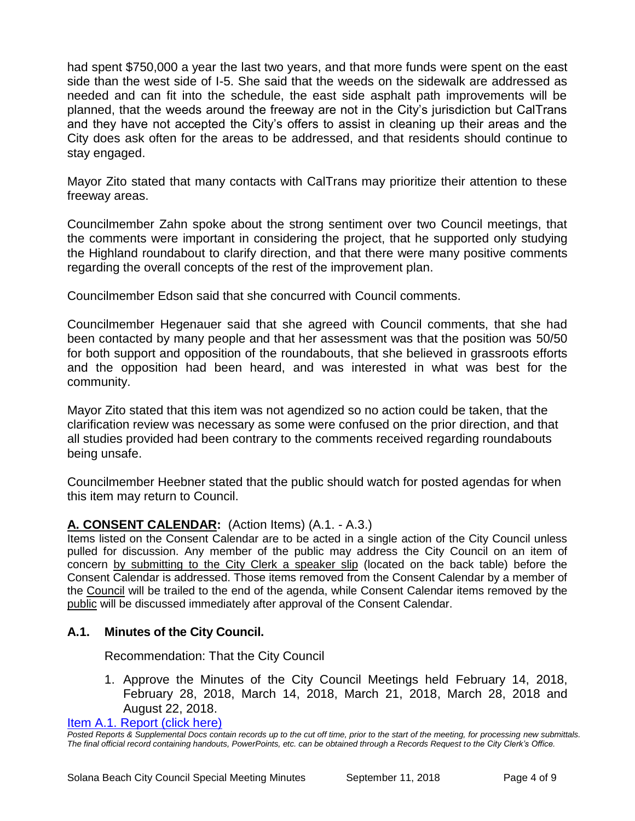had spent \$750,000 a year the last two years, and that more funds were spent on the east side than the west side of I-5. She said that the weeds on the sidewalk are addressed as needed and can fit into the schedule, the east side asphalt path improvements will be planned, that the weeds around the freeway are not in the City's jurisdiction but CalTrans and they have not accepted the City's offers to assist in cleaning up their areas and the City does ask often for the areas to be addressed, and that residents should continue to stay engaged.

Mayor Zito stated that many contacts with CalTrans may prioritize their attention to these freeway areas.

Councilmember Zahn spoke about the strong sentiment over two Council meetings, that the comments were important in considering the project, that he supported only studying the Highland roundabout to clarify direction, and that there were many positive comments regarding the overall concepts of the rest of the improvement plan.

Councilmember Edson said that she concurred with Council comments.

Councilmember Hegenauer said that she agreed with Council comments, that she had been contacted by many people and that her assessment was that the position was 50/50 for both support and opposition of the roundabouts, that she believed in grassroots efforts and the opposition had been heard, and was interested in what was best for the community.

Mayor Zito stated that this item was not agendized so no action could be taken, that the clarification review was necessary as some were confused on the prior direction, and that all studies provided had been contrary to the comments received regarding roundabouts being unsafe.

Councilmember Heebner stated that the public should watch for posted agendas for when this item may return to Council.

# **A. CONSENT CALENDAR:** (Action Items) (A.1. - A.3.)

Items listed on the Consent Calendar are to be acted in a single action of the City Council unless pulled for discussion. Any member of the public may address the City Council on an item of concern by submitting to the City Clerk a speaker slip (located on the back table) before the Consent Calendar is addressed. Those items removed from the Consent Calendar by a member of the Council will be trailed to the end of the agenda, while Consent Calendar items removed by the public will be discussed immediately after approval of the Consent Calendar.

# **A.1. Minutes of the City Council.**

Recommendation: That the City Council

1. Approve the Minutes of the City Council Meetings held February 14, 2018, February 28, 2018, March 14, 2018, March 21, 2018, March 28, 2018 and August 22, 2018.

[Item A.1. Report \(click here\)](https://solanabeach.govoffice3.com/vertical/Sites/%7B840804C2-F869-4904-9AE3-720581350CE7%7D/uploads/Item_A.1._Report__(click_here)_-_09-11-18.PDF)

*Posted Reports & Supplemental Docs contain records up to the cut off time, prior to the start of the meeting, for processing new submittals. The final official record containing handouts, PowerPoints, etc. can be obtained through a Records Request to the City Clerk's Office.*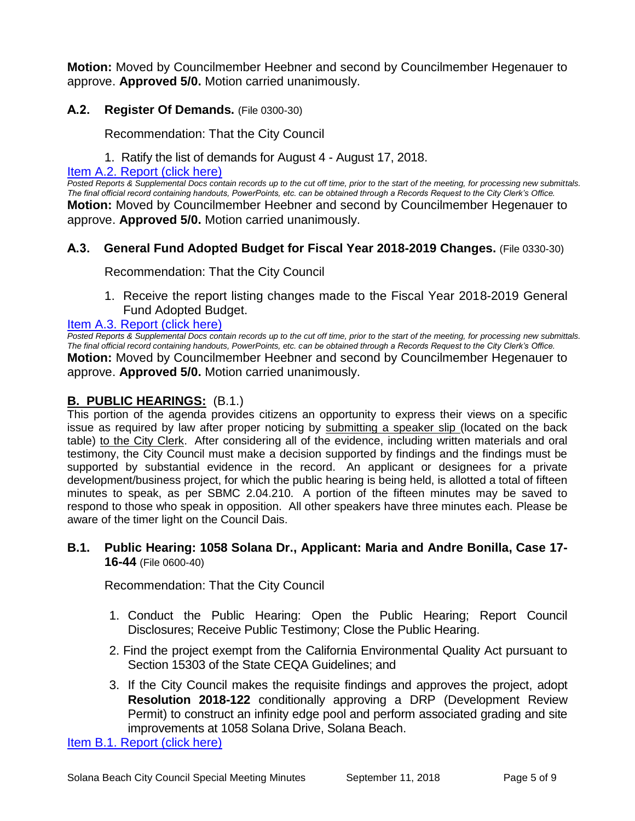**Motion:** Moved by Councilmember Heebner and second by Councilmember Hegenauer to approve. **Approved 5/0.** Motion carried unanimously.

# **A.2. Register Of Demands.** (File 0300-30)

Recommendation: That the City Council

1. Ratify the list of demands for August 4 - August 17, 2018.

#### [Item A.2. Report \(click here\)](https://solanabeach.govoffice3.com/vertical/Sites/%7B840804C2-F869-4904-9AE3-720581350CE7%7D/uploads/Item_A.2._Report_(click_here)_-_09-11-18.PDF)

*Posted Reports & Supplemental Docs contain records up to the cut off time, prior to the start of the meeting, for processing new submittals. The final official record containing handouts, PowerPoints, etc. can be obtained through a Records Request to the City Clerk's Office.* **Motion:** Moved by Councilmember Heebner and second by Councilmember Hegenauer to

approve. **Approved 5/0.** Motion carried unanimously.

#### **A.3. General Fund Adopted Budget for Fiscal Year 2018-2019 Changes.** (File 0330-30)

Recommendation: That the City Council

1. Receive the report listing changes made to the Fiscal Year 2018-2019 General Fund Adopted Budget.

#### [Item A.3. Report \(click here\)](https://solanabeach.govoffice3.com/vertical/Sites/%7B840804C2-F869-4904-9AE3-720581350CE7%7D/uploads/Item_A.3._Report_(click_here)_-_09-11-18.PDF)

*Posted Reports & Supplemental Docs contain records up to the cut off time, prior to the start of the meeting, for processing new submittals. The final official record containing handouts, PowerPoints, etc. can be obtained through a Records Request to the City Clerk's Office.* **Motion:** Moved by Councilmember Heebner and second by Councilmember Hegenauer to approve. **Approved 5/0.** Motion carried unanimously.

# **B. PUBLIC HEARINGS:** (B.1.)

This portion of the agenda provides citizens an opportunity to express their views on a specific issue as required by law after proper noticing by submitting a speaker slip (located on the back table) to the City Clerk. After considering all of the evidence, including written materials and oral testimony, the City Council must make a decision supported by findings and the findings must be supported by substantial evidence in the record. An applicant or designees for a private development/business project, for which the public hearing is being held, is allotted a total of fifteen minutes to speak, as per SBMC 2.04.210. A portion of the fifteen minutes may be saved to respond to those who speak in opposition. All other speakers have three minutes each. Please be aware of the timer light on the Council Dais.

#### **B.1. Public Hearing: 1058 Solana Dr., Applicant: Maria and Andre Bonilla, Case 17- 16-44** (File 0600-40)

Recommendation: That the City Council

- 1. Conduct the Public Hearing: Open the Public Hearing; Report Council Disclosures; Receive Public Testimony; Close the Public Hearing.
- 2. Find the project exempt from the California Environmental Quality Act pursuant to Section 15303 of the State CEQA Guidelines; and
- 3. If the City Council makes the requisite findings and approves the project, adopt **Resolution 2018-122** conditionally approving a DRP (Development Review Permit) to construct an infinity edge pool and perform associated grading and site improvements at 1058 Solana Drive, Solana Beach.

[Item B.1. Report \(click here\)](https://solanabeach.govoffice3.com/vertical/Sites/%7B840804C2-F869-4904-9AE3-720581350CE7%7D/uploads/Item_B.1._Reportt_(click_here)_-_09-11-18.PDF)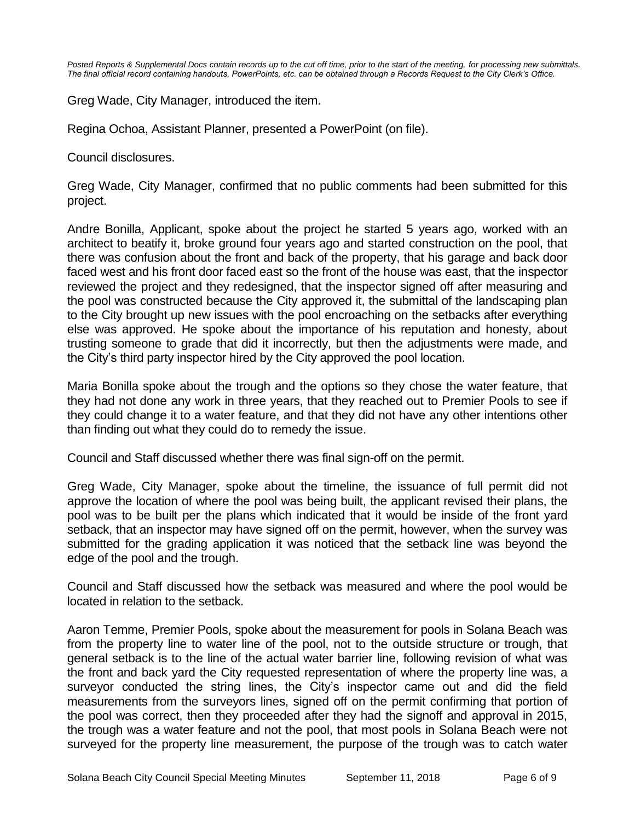*Posted Reports & Supplemental Docs contain records up to the cut off time, prior to the start of the meeting, for processing new submittals. The final official record containing handouts, PowerPoints, etc. can be obtained through a Records Request to the City Clerk's Office.*

Greg Wade, City Manager, introduced the item.

Regina Ochoa, Assistant Planner, presented a PowerPoint (on file).

Council disclosures.

Greg Wade, City Manager, confirmed that no public comments had been submitted for this project.

Andre Bonilla, Applicant, spoke about the project he started 5 years ago, worked with an architect to beatify it, broke ground four years ago and started construction on the pool, that there was confusion about the front and back of the property, that his garage and back door faced west and his front door faced east so the front of the house was east, that the inspector reviewed the project and they redesigned, that the inspector signed off after measuring and the pool was constructed because the City approved it, the submittal of the landscaping plan to the City brought up new issues with the pool encroaching on the setbacks after everything else was approved. He spoke about the importance of his reputation and honesty, about trusting someone to grade that did it incorrectly, but then the adjustments were made, and the City's third party inspector hired by the City approved the pool location.

Maria Bonilla spoke about the trough and the options so they chose the water feature, that they had not done any work in three years, that they reached out to Premier Pools to see if they could change it to a water feature, and that they did not have any other intentions other than finding out what they could do to remedy the issue.

Council and Staff discussed whether there was final sign-off on the permit.

Greg Wade, City Manager, spoke about the timeline, the issuance of full permit did not approve the location of where the pool was being built, the applicant revised their plans, the pool was to be built per the plans which indicated that it would be inside of the front yard setback, that an inspector may have signed off on the permit, however, when the survey was submitted for the grading application it was noticed that the setback line was beyond the edge of the pool and the trough.

Council and Staff discussed how the setback was measured and where the pool would be located in relation to the setback.

Aaron Temme, Premier Pools, spoke about the measurement for pools in Solana Beach was from the property line to water line of the pool, not to the outside structure or trough, that general setback is to the line of the actual water barrier line, following revision of what was the front and back yard the City requested representation of where the property line was, a surveyor conducted the string lines, the City's inspector came out and did the field measurements from the surveyors lines, signed off on the permit confirming that portion of the pool was correct, then they proceeded after they had the signoff and approval in 2015, the trough was a water feature and not the pool, that most pools in Solana Beach were not surveyed for the property line measurement, the purpose of the trough was to catch water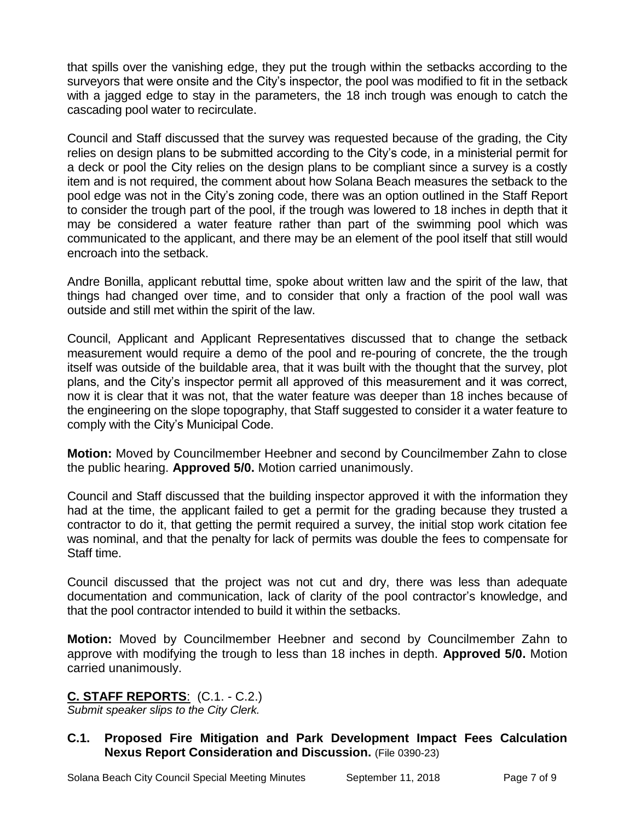that spills over the vanishing edge, they put the trough within the setbacks according to the surveyors that were onsite and the City's inspector, the pool was modified to fit in the setback with a jagged edge to stay in the parameters, the 18 inch trough was enough to catch the cascading pool water to recirculate.

Council and Staff discussed that the survey was requested because of the grading, the City relies on design plans to be submitted according to the City's code, in a ministerial permit for a deck or pool the City relies on the design plans to be compliant since a survey is a costly item and is not required, the comment about how Solana Beach measures the setback to the pool edge was not in the City's zoning code, there was an option outlined in the Staff Report to consider the trough part of the pool, if the trough was lowered to 18 inches in depth that it may be considered a water feature rather than part of the swimming pool which was communicated to the applicant, and there may be an element of the pool itself that still would encroach into the setback.

Andre Bonilla, applicant rebuttal time, spoke about written law and the spirit of the law, that things had changed over time, and to consider that only a fraction of the pool wall was outside and still met within the spirit of the law.

Council, Applicant and Applicant Representatives discussed that to change the setback measurement would require a demo of the pool and re-pouring of concrete, the the trough itself was outside of the buildable area, that it was built with the thought that the survey, plot plans, and the City's inspector permit all approved of this measurement and it was correct, now it is clear that it was not, that the water feature was deeper than 18 inches because of the engineering on the slope topography, that Staff suggested to consider it a water feature to comply with the City's Municipal Code.

**Motion:** Moved by Councilmember Heebner and second by Councilmember Zahn to close the public hearing. **Approved 5/0.** Motion carried unanimously.

Council and Staff discussed that the building inspector approved it with the information they had at the time, the applicant failed to get a permit for the grading because they trusted a contractor to do it, that getting the permit required a survey, the initial stop work citation fee was nominal, and that the penalty for lack of permits was double the fees to compensate for Staff time.

Council discussed that the project was not cut and dry, there was less than adequate documentation and communication, lack of clarity of the pool contractor's knowledge, and that the pool contractor intended to build it within the setbacks.

**Motion:** Moved by Councilmember Heebner and second by Councilmember Zahn to approve with modifying the trough to less than 18 inches in depth. **Approved 5/0.** Motion carried unanimously.

# **C. STAFF REPORTS**: (C.1. - C.2.)

*Submit speaker slips to the City Clerk.*

# **C.1. Proposed Fire Mitigation and Park Development Impact Fees Calculation Nexus Report Consideration and Discussion.** (File 0390-23)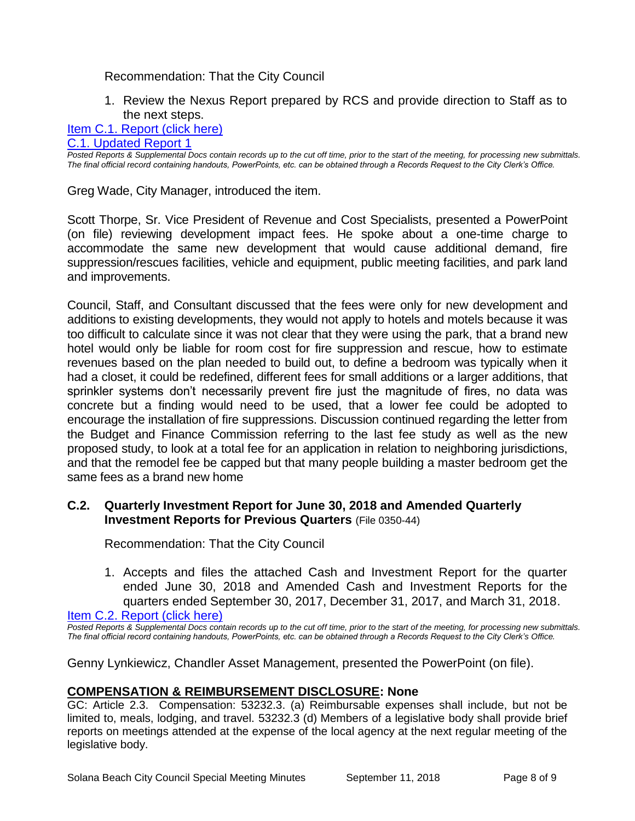#### Recommendation: That the City Council

1. Review the Nexus Report prepared by RCS and provide direction to Staff as to the next steps.

#### [Item C.1. Report \(click here\)](https://solanabeach.govoffice3.com/vertical/Sites/%7B840804C2-F869-4904-9AE3-720581350CE7%7D/uploads/Item_C.1._Report_(click_here)_-_09-11-18.PDF)

#### [C.1. Updated Report 1](https://solanabeach.govoffice3.com/vertical/Sites/%7B840804C2-F869-4904-9AE3-720581350CE7%7D/uploads/Item_C.1._Updated_Report_1.pdf)

*Posted Reports & Supplemental Docs contain records up to the cut off time, prior to the start of the meeting, for processing new submittals. The final official record containing handouts, PowerPoints, etc. can be obtained through a Records Request to the City Clerk's Office.*

Greg Wade, City Manager, introduced the item.

Scott Thorpe, Sr. Vice President of Revenue and Cost Specialists, presented a PowerPoint (on file) reviewing development impact fees. He spoke about a one-time charge to accommodate the same new development that would cause additional demand, fire suppression/rescues facilities, vehicle and equipment, public meeting facilities, and park land and improvements.

Council, Staff, and Consultant discussed that the fees were only for new development and additions to existing developments, they would not apply to hotels and motels because it was too difficult to calculate since it was not clear that they were using the park, that a brand new hotel would only be liable for room cost for fire suppression and rescue, how to estimate revenues based on the plan needed to build out, to define a bedroom was typically when it had a closet, it could be redefined, different fees for small additions or a larger additions, that sprinkler systems don't necessarily prevent fire just the magnitude of fires, no data was concrete but a finding would need to be used, that a lower fee could be adopted to encourage the installation of fire suppressions. Discussion continued regarding the letter from the Budget and Finance Commission referring to the last fee study as well as the new proposed study, to look at a total fee for an application in relation to neighboring jurisdictions, and that the remodel fee be capped but that many people building a master bedroom get the same fees as a brand new home

#### **C.2. Quarterly Investment Report for June 30, 2018 and Amended Quarterly Investment Reports for Previous Quarters** (File 0350-44)

Recommendation: That the City Council

1. Accepts and files the attached Cash and Investment Report for the quarter ended June 30, 2018 and Amended Cash and Investment Reports for the quarters ended September 30, 2017, December 31, 2017, and March 31, 2018.

[Item C.2. Report \(click here\)](https://solanabeach.govoffice3.com/vertical/Sites/%7B840804C2-F869-4904-9AE3-720581350CE7%7D/uploads/Item_C.2._Report_(click_here)_-_09-11-18.PDF)

*Posted Reports & Supplemental Docs contain records up to the cut off time, prior to the start of the meeting, for processing new submittals. The final official record containing handouts, PowerPoints, etc. can be obtained through a Records Request to the City Clerk's Office.*

Genny Lynkiewicz, Chandler Asset Management, presented the PowerPoint (on file).

# **COMPENSATION & REIMBURSEMENT DISCLOSURE: None**

GC: Article 2.3. Compensation: 53232.3. (a) Reimbursable expenses shall include, but not be limited to, meals, lodging, and travel. 53232.3 (d) Members of a legislative body shall provide brief reports on meetings attended at the expense of the local agency at the next regular meeting of the legislative body.